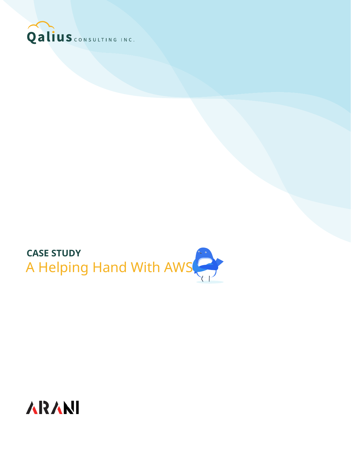